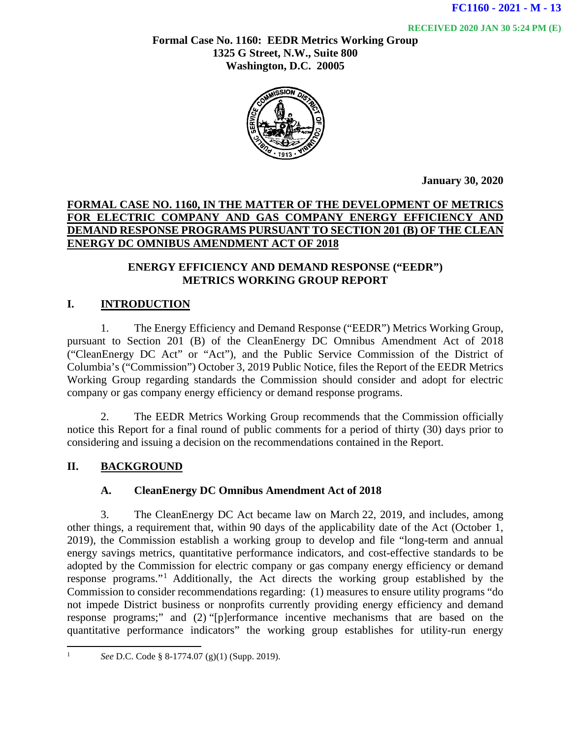**RECEIVED 2020 JAN 30 5:24 PM (E)**

**Formal Case No. 1160: EEDR Metrics Working Group 1325 G Street, N.W., Suite 800 Washington, D.C. 20005**



**January 30, 2020**

### **FORMAL CASE NO. 1160, IN THE MATTER OF THE DEVELOPMENT OF METRICS FOR ELECTRIC COMPANY AND GAS COMPANY ENERGY EFFICIENCY AND DEMAND RESPONSE PROGRAMS PURSUANT TO SECTION 201 (B) OF THE CLEAN ENERGY DC OMNIBUS AMENDMENT ACT OF 2018**

#### **ENERGY EFFICIENCY AND DEMAND RESPONSE ("EEDR") METRICS WORKING GROUP REPORT**

## **I. INTRODUCTION**

1. The Energy Efficiency and Demand Response ("EEDR") Metrics Working Group, pursuant to Section 201 (B) of the CleanEnergy DC Omnibus Amendment Act of 2018 ("CleanEnergy DC Act" or "Act"), and the Public Service Commission of the District of Columbia's ("Commission") October 3, 2019 Public Notice, files the Report of the EEDR Metrics Working Group regarding standards the Commission should consider and adopt for electric company or gas company energy efficiency or demand response programs.

2. The EEDR Metrics Working Group recommends that the Commission officially notice this Report for a final round of public comments for a period of thirty (30) days prior to considering and issuing a decision on the recommendations contained in the Report.

## **II. BACKGROUND**

#### **A. CleanEnergy DC Omnibus Amendment Act of 2018**

3. The CleanEnergy DC Act became law on March 22, 2019, and includes, among other things, a requirement that, within 90 days of the applicability date of the Act (October 1, 2019), the Commission establish a working group to develop and file "long-term and annual energy savings metrics, quantitative performance indicators, and cost-effective standards to be adopted by the Commission for electric company or gas company energy efficiency or demand response programs."[1](#page-0-0) Additionally, the Act directs the working group established by the Commission to consider recommendations regarding: (1) measures to ensure utility programs "do not impede District business or nonprofits currently providing energy efficiency and demand response programs;" and (2) "[p]erformance incentive mechanisms that are based on the quantitative performance indicators" the working group establishes for utility-run energy

<span id="page-0-0"></span><sup>1</sup> *See* D.C. Code § 8-1774.07 (g)(1) (Supp. 2019).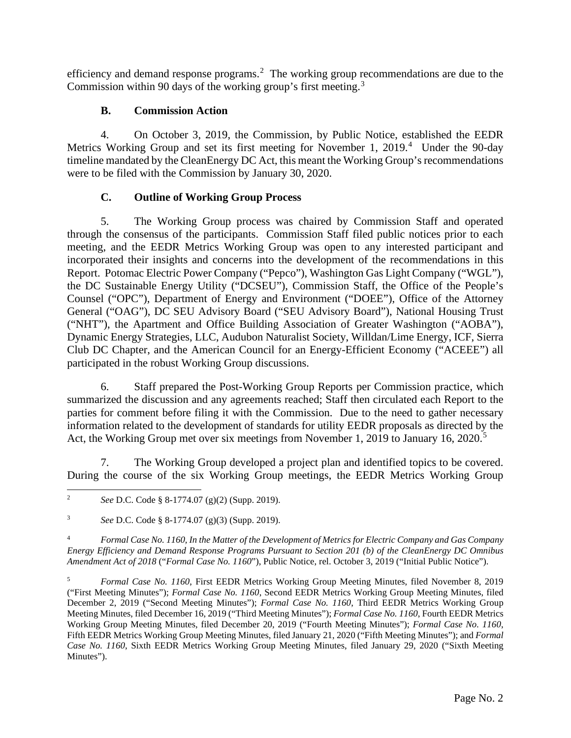efficiency and demand response programs.<sup>[2](#page-1-0)</sup> The working group recommendations are due to the Commission within 90 days of the working group's first meeting.[3](#page-1-1)

## **B. Commission Action**

4. On October 3, 2019, the Commission, by Public Notice, established the EEDR Metrics Working Group and set its first meeting for November 1, 2019.<sup>[4](#page-1-2)</sup> Under the 90-day timeline mandated by the CleanEnergy DC Act, this meant the Working Group's recommendations were to be filed with the Commission by January 30, 2020.

# **C. Outline of Working Group Process**

5. The Working Group process was chaired by Commission Staff and operated through the consensus of the participants. Commission Staff filed public notices prior to each meeting, and the EEDR Metrics Working Group was open to any interested participant and incorporated their insights and concerns into the development of the recommendations in this Report. Potomac Electric Power Company ("Pepco"), Washington Gas Light Company ("WGL"), the DC Sustainable Energy Utility ("DCSEU"), Commission Staff, the Office of the People's Counsel ("OPC"), Department of Energy and Environment ("DOEE"), Office of the Attorney General ("OAG"), DC SEU Advisory Board ("SEU Advisory Board"), National Housing Trust ("NHT"), the Apartment and Office Building Association of Greater Washington ("AOBA"), Dynamic Energy Strategies, LLC, Audubon Naturalist Society, Willdan/Lime Energy, ICF, Sierra Club DC Chapter, and the American Council for an Energy-Efficient Economy ("ACEEE") all participated in the robust Working Group discussions.

6. Staff prepared the Post-Working Group Reports per Commission practice, which summarized the discussion and any agreements reached; Staff then circulated each Report to the parties for comment before filing it with the Commission. Due to the need to gather necessary information related to the development of standards for utility EEDR proposals as directed by the Act, the Working Group met over six meetings from November 1, 2019 to January 16, 2020. [5](#page-1-3)

7. The Working Group developed a project plan and identified topics to be covered. During the course of the six Working Group meetings, the EEDR Metrics Working Group

<span id="page-1-2"></span><sup>4</sup> *Formal Case No. 1160, In the Matter of the Development of Metrics for Electric Company and Gas Company Energy Efficiency and Demand Response Programs Pursuant to Section 201 (b) of the CleanEnergy DC Omnibus Amendment Act of 2018* ("*Formal Case No. 1160*"), Public Notice, rel. October 3, 2019 ("Initial Public Notice").

<span id="page-1-0"></span><sup>2</sup> *See* D.C. Code § 8-1774.07 (g)(2) (Supp. 2019).

<span id="page-1-1"></span><sup>3</sup> *See* D.C. Code § 8-1774.07 (g)(3) (Supp. 2019).

<span id="page-1-3"></span><sup>5</sup> *Formal Case No. 1160*, First EEDR Metrics Working Group Meeting Minutes, filed November 8, 2019 ("First Meeting Minutes"); *Formal Case No. 1160*, Second EEDR Metrics Working Group Meeting Minutes, filed December 2, 2019 ("Second Meeting Minutes"); *Formal Case No. 1160*, Third EEDR Metrics Working Group Meeting Minutes, filed December 16, 2019 ("Third Meeting Minutes"); *Formal Case No. 1160*, Fourth EEDR Metrics Working Group Meeting Minutes, filed December 20, 2019 ("Fourth Meeting Minutes"); *Formal Case No. 1160*, Fifth EEDR Metrics Working Group Meeting Minutes, filed January 21, 2020 ("Fifth Meeting Minutes"); and *Formal Case No. 1160*, Sixth EEDR Metrics Working Group Meeting Minutes, filed January 29, 2020 ("Sixth Meeting Minutes").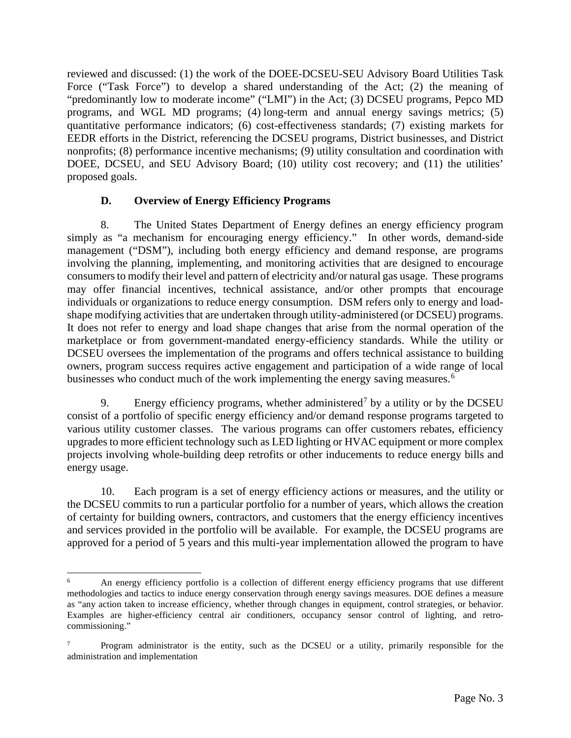reviewed and discussed: (1) the work of the DOEE-DCSEU-SEU Advisory Board Utilities Task Force ("Task Force") to develop a shared understanding of the Act; (2) the meaning of "predominantly low to moderate income" ("LMI") in the Act; (3) DCSEU programs, Pepco MD programs, and WGL MD programs; (4) long-term and annual energy savings metrics; (5) quantitative performance indicators; (6) cost-effectiveness standards; (7) existing markets for EEDR efforts in the District, referencing the DCSEU programs, District businesses, and District nonprofits; (8) performance incentive mechanisms; (9) utility consultation and coordination with DOEE, DCSEU, and SEU Advisory Board; (10) utility cost recovery; and (11) the utilities' proposed goals.

## **D. Overview of Energy Efficiency Programs**

8. The United States Department of Energy defines an energy efficiency program simply as "a mechanism for encouraging energy efficiency." In other words, demand-side management ("DSM"), including both energy efficiency and demand response, are programs involving the planning, implementing, and monitoring activities that are designed to encourage consumers to modify their level and pattern of electricity and/or natural gas usage. These programs may offer financial incentives, technical assistance, and/or other prompts that encourage individuals or organizations to reduce energy consumption. DSM refers only to energy and loadshape modifying activities that are undertaken through utility-administered (or DCSEU) programs. It does not refer to energy and load shape changes that arise from the normal operation of the marketplace or from government-mandated energy-efficiency standards. While the utility or DCSEU oversees the implementation of the programs and offers technical assistance to building owners, program success requires active engagement and participation of a wide range of local businesses who conduct much of the work implementing the energy saving measures.<sup>[6](#page-2-0)</sup>

9. Energy efficiency programs, whether administered<sup>[7](#page-2-1)</sup> by a utility or by the DCSEU consist of a portfolio of specific energy efficiency and/or demand response programs targeted to various utility customer classes. The various programs can offer customers rebates, efficiency upgrades to more efficient technology such as LED lighting or HVAC equipment or more complex projects involving whole-building deep retrofits or other inducements to reduce energy bills and energy usage.

10. Each program is a set of energy efficiency actions or measures, and the utility or the DCSEU commits to run a particular portfolio for a number of years, which allows the creation of certainty for building owners, contractors, and customers that the energy efficiency incentives and services provided in the portfolio will be available. For example, the DCSEU programs are approved for a period of 5 years and this multi-year implementation allowed the program to have

<span id="page-2-0"></span><sup>6</sup> An energy efficiency portfolio is a collection of different energy efficiency programs that use different methodologies and tactics to induce energy conservation through energy savings measures. DOE defines a measure as "any action taken to increase efficiency, whether through changes in equipment, control strategies, or behavior. Examples are higher-efficiency central air conditioners, occupancy sensor control of lighting, and retrocommissioning."

<span id="page-2-1"></span><sup>7</sup> Program administrator is the entity, such as the DCSEU or a utility, primarily responsible for the administration and implementation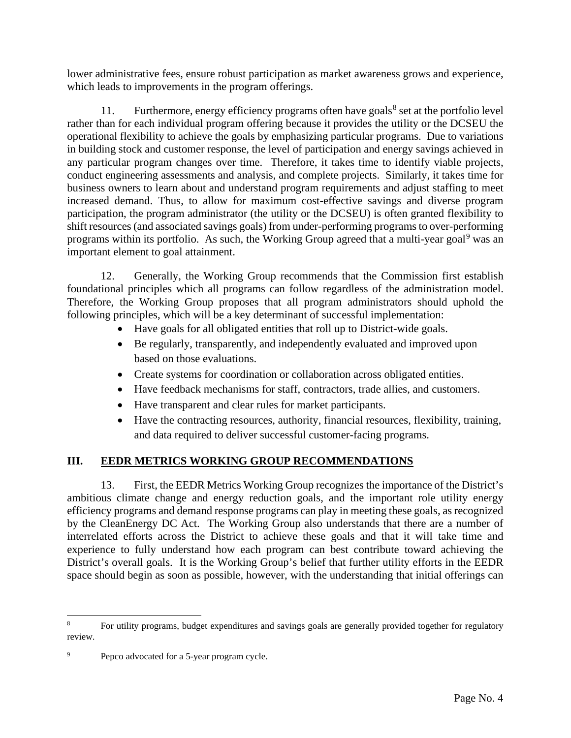lower administrative fees, ensure robust participation as market awareness grows and experience, which leads to improvements in the program offerings.

11. Furthermore, energy efficiency programs often have goals<sup>[8](#page-3-0)</sup> set at the portfolio level rather than for each individual program offering because it provides the utility or the DCSEU the operational flexibility to achieve the goals by emphasizing particular programs. Due to variations in building stock and customer response, the level of participation and energy savings achieved in any particular program changes over time. Therefore, it takes time to identify viable projects, conduct engineering assessments and analysis, and complete projects. Similarly, it takes time for business owners to learn about and understand program requirements and adjust staffing to meet increased demand. Thus, to allow for maximum cost-effective savings and diverse program participation, the program administrator (the utility or the DCSEU) is often granted flexibility to shift resources (and associated savings goals) from under-performing programs to over-performing programs within its portfolio. As such, the Working Group agreed that a multi-year goal<sup>[9](#page-3-1)</sup> was an important element to goal attainment.

12. Generally, the Working Group recommends that the Commission first establish foundational principles which all programs can follow regardless of the administration model. Therefore, the Working Group proposes that all program administrators should uphold the following principles, which will be a key determinant of successful implementation:

- Have goals for all obligated entities that roll up to District-wide goals.
- Be regularly, transparently, and independently evaluated and improved upon based on those evaluations.
- Create systems for coordination or collaboration across obligated entities.
- Have feedback mechanisms for staff, contractors, trade allies, and customers.
- Have transparent and clear rules for market participants.
- Have the contracting resources, authority, financial resources, flexibility, training, and data required to deliver successful customer-facing programs.

# **III. EEDR METRICS WORKING GROUP RECOMMENDATIONS**

13. First, the EEDR Metrics Working Group recognizes the importance of the District's ambitious climate change and energy reduction goals, and the important role utility energy efficiency programs and demand response programs can play in meeting these goals, as recognized by the CleanEnergy DC Act. The Working Group also understands that there are a number of interrelated efforts across the District to achieve these goals and that it will take time and experience to fully understand how each program can best contribute toward achieving the District's overall goals. It is the Working Group's belief that further utility efforts in the EEDR space should begin as soon as possible, however, with the understanding that initial offerings can

<span id="page-3-0"></span>For utility programs, budget expenditures and savings goals are generally provided together for regulatory review.

<span id="page-3-1"></span>Pepco advocated for a 5-year program cycle.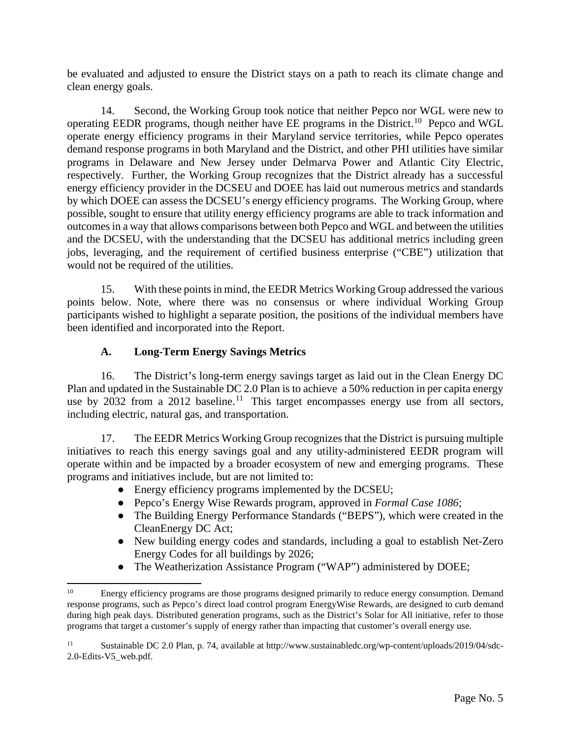be evaluated and adjusted to ensure the District stays on a path to reach its climate change and clean energy goals.

14. Second, the Working Group took notice that neither Pepco nor WGL were new to operating EEDR programs, though neither have EE programs in the District.<sup>[10](#page-4-0)</sup> Pepco and WGL operate energy efficiency programs in their Maryland service territories, while Pepco operates demand response programs in both Maryland and the District, and other PHI utilities have similar programs in Delaware and New Jersey under Delmarva Power and Atlantic City Electric, respectively. Further, the Working Group recognizes that the District already has a successful energy efficiency provider in the DCSEU and DOEE has laid out numerous metrics and standards by which DOEE can assess the DCSEU's energy efficiency programs. The Working Group, where possible, sought to ensure that utility energy efficiency programs are able to track information and outcomes in a way that allows comparisons between both Pepco and WGL and between the utilities and the DCSEU, with the understanding that the DCSEU has additional metrics including green jobs, leveraging, and the requirement of certified business enterprise ("CBE") utilization that would not be required of the utilities.

15. With these points in mind, the EEDR Metrics Working Group addressed the various points below. Note, where there was no consensus or where individual Working Group participants wished to highlight a separate position, the positions of the individual members have been identified and incorporated into the Report.

# **A. Long-Term Energy Savings Metrics**

16. The District's long-term energy savings target as laid out in the Clean Energy DC Plan and updated in the Sustainable DC 2.0 Plan is to achieve a 50% reduction in per capita energy use by 2032 from a 2012 baseline.<sup>[11](#page-4-1)</sup> This target encompasses energy use from all sectors, including electric, natural gas, and transportation.

17. The EEDR Metrics Working Group recognizes that the District is pursuing multiple initiatives to reach this energy savings goal and any utility-administered EEDR program will operate within and be impacted by a broader ecosystem of new and emerging programs. These programs and initiatives include, but are not limited to:

- Energy efficiency programs implemented by the DCSEU;
- Pepco's Energy Wise Rewards program, approved in *Formal Case 1086*;
- The Building Energy Performance Standards ("BEPS"), which were created in the CleanEnergy DC Act;
- New building energy codes and standards, including a goal to establish Net-Zero Energy Codes for all buildings by 2026;
- The Weatherization Assistance Program ("WAP") administered by DOEE;

<span id="page-4-0"></span><sup>&</sup>lt;sup>10</sup> Energy efficiency programs are those programs designed primarily to reduce energy consumption. Demand response programs, such as Pepco's direct load control program EnergyWise Rewards, are designed to curb demand during high peak days. Distributed generation programs, such as the District's Solar for All initiative, refer to those programs that target a customer's supply of energy rather than impacting that customer's overall energy use.

<span id="page-4-1"></span><sup>11</sup> Sustainable DC 2.0 Plan, p. 74, available at [http://www.sustainabledc.org/wp-content/uploads/2019/04/sdc-](http://www.sustainabledc.org/wp-content/uploads/2019/04/sdc-2.0-Edits-V5_web.pdf)[2.0-Edits-V5\\_web.pdf.](http://www.sustainabledc.org/wp-content/uploads/2019/04/sdc-2.0-Edits-V5_web.pdf)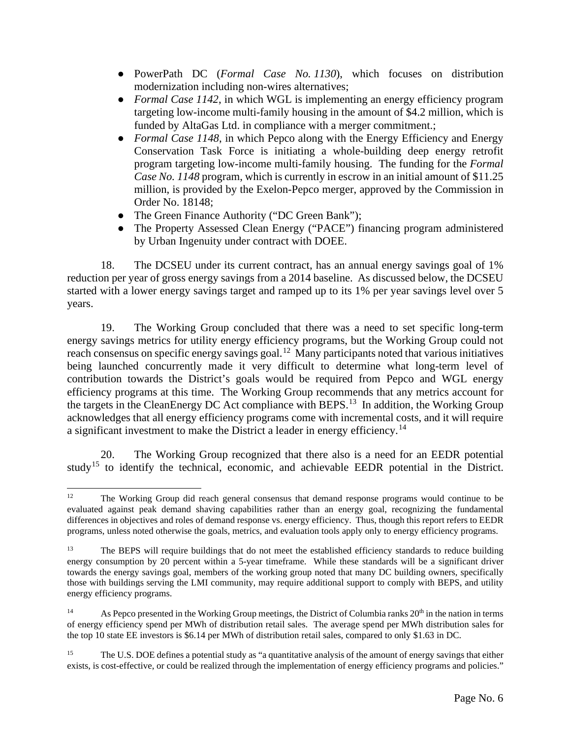- PowerPath DC (*Formal Case No. 1130*), which focuses on distribution modernization including non-wires alternatives;
- *Formal Case 1142*, in which WGL is implementing an energy efficiency program targeting low-income multi-family housing in the amount of \$4.2 million, which is funded by AltaGas Ltd. in compliance with a merger commitment.;
- *Formal Case 1148*, in which Pepco along with the Energy Efficiency and Energy Conservation Task Force is initiating a whole-building deep energy retrofit program targeting low-income multi-family housing. The funding for the *Formal Case No. 1148* program, which is currently in escrow in an initial amount of \$11.25 million, is provided by the Exelon-Pepco merger, approved by the Commission in Order No. 18148;
- The Green Finance Authority ("DC Green Bank");
- The Property Assessed Clean Energy ("PACE") financing program administered by Urban Ingenuity under contract with DOEE.

18. The DCSEU under its current contract, has an annual energy savings goal of 1% reduction per year of gross energy savings from a 2014 baseline. As discussed below, the DCSEU started with a lower energy savings target and ramped up to its 1% per year savings level over 5 years.

19. The Working Group concluded that there was a need to set specific long-term energy savings metrics for utility energy efficiency programs, but the Working Group could not reach consensus on specific energy savings goal.<sup>12</sup> Many participants noted that various initiatives being launched concurrently made it very difficult to determine what long-term level of contribution towards the District's goals would be required from Pepco and WGL energy efficiency programs at this time. The Working Group recommends that any metrics account for the targets in the CleanEnergy DC Act compliance with BEPS.<sup>[13](#page-5-1)</sup> In addition, the Working Group acknowledges that all energy efficiency programs come with incremental costs, and it will require a significant investment to make the District a leader in energy efficiency.[14](#page-5-2)

20. The Working Group recognized that there also is a need for an EEDR potential study[15](#page-5-3) to identify the technical, economic, and achievable EEDR potential in the District.

<span id="page-5-0"></span><sup>&</sup>lt;sup>12</sup> The Working Group did reach general consensus that demand response programs would continue to be evaluated against peak demand shaving capabilities rather than an energy goal, recognizing the fundamental differences in objectives and roles of demand response vs. energy efficiency. Thus, though this report refers to EEDR programs, unless noted otherwise the goals, metrics, and evaluation tools apply only to energy efficiency programs.

<span id="page-5-1"></span><sup>&</sup>lt;sup>13</sup> The BEPS will require buildings that do not meet the established efficiency standards to reduce building energy consumption by 20 percent within a 5-year timeframe. While these standards will be a significant driver towards the energy savings goal, members of the working group noted that many DC building owners, specifically those with buildings serving the LMI community, may require additional support to comply with BEPS, and utility energy efficiency programs.

<span id="page-5-2"></span><sup>&</sup>lt;sup>14</sup> As Pepco presented in the Working Group meetings, the District of Columbia ranks  $20<sup>th</sup>$  in the nation in terms of energy efficiency spend per MWh of distribution retail sales. The average spend per MWh distribution sales for the top 10 state EE investors is \$6.14 per MWh of distribution retail sales, compared to only \$1.63 in DC.

<span id="page-5-3"></span><sup>&</sup>lt;sup>15</sup> The U.S. DOE defines a potential study as "a quantitative analysis of the amount of energy savings that either exists, is cost-effective, or could be realized through the implementation of energy efficiency programs and policies."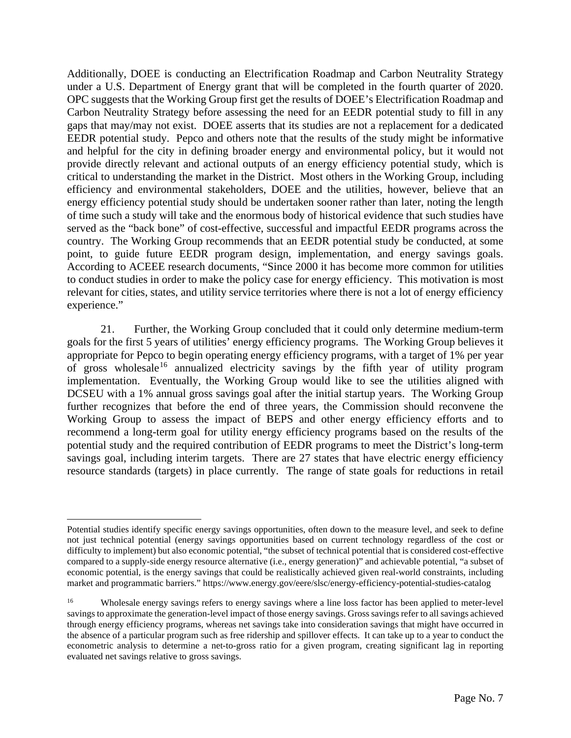Additionally, DOEE is conducting an Electrification Roadmap and Carbon Neutrality Strategy under a U.S. Department of Energy grant that will be completed in the fourth quarter of 2020. OPC suggests that the Working Group first get the results of DOEE's Electrification Roadmap and Carbon Neutrality Strategy before assessing the need for an EEDR potential study to fill in any gaps that may/may not exist. DOEE asserts that its studies are not a replacement for a dedicated EEDR potential study. Pepco and others note that the results of the study might be informative and helpful for the city in defining broader energy and environmental policy, but it would not provide directly relevant and actional outputs of an energy efficiency potential study, which is critical to understanding the market in the District. Most others in the Working Group, including efficiency and environmental stakeholders, DOEE and the utilities, however, believe that an energy efficiency potential study should be undertaken sooner rather than later, noting the length of time such a study will take and the enormous body of historical evidence that such studies have served as the "back bone" of cost-effective, successful and impactful EEDR programs across the country. The Working Group recommends that an EEDR potential study be conducted, at some point, to guide future EEDR program design, implementation, and energy savings goals. According to ACEEE research documents, "Since 2000 it has become more common for utilities to conduct studies in order to make the policy case for energy efficiency. This motivation is most relevant for cities, states, and utility service territories where there is not a lot of energy efficiency experience."

21. Further, the Working Group concluded that it could only determine medium-term goals for the first 5 years of utilities' energy efficiency programs. The Working Group believes it appropriate for Pepco to begin operating energy efficiency programs, with a target of 1% per year of gross wholesale<sup>[16](#page-6-0)</sup> annualized electricity savings by the fifth year of utility program implementation. Eventually, the Working Group would like to see the utilities aligned with DCSEU with a 1% annual gross savings goal after the initial startup years. The Working Group further recognizes that before the end of three years, the Commission should reconvene the Working Group to assess the impact of BEPS and other energy efficiency efforts and to recommend a long-term goal for utility energy efficiency programs based on the results of the potential study and the required contribution of EEDR programs to meet the District's long-term savings goal, including interim targets. There are 27 states that have electric energy efficiency resource standards (targets) in place currently. The range of state goals for reductions in retail

Potential studies identify specific energy savings opportunities, often down to the measure level, and seek to define not just technical potential (energy savings opportunities based on current technology regardless of the cost or difficulty to implement) but also economic potential, "the subset of technical potential that is considered cost-effective compared to a supply-side energy resource alternative (i.e., energy generation)" and achievable potential, "a subset of economic potential, is the energy savings that could be realistically achieved given real-world constraints, including market and programmatic barriers." https://www.energy.gov/eere/slsc/energy-efficiency-potential-studies-catalog

<span id="page-6-0"></span><sup>&</sup>lt;sup>16</sup> Wholesale energy savings refers to energy savings where a line loss factor has been applied to meter-level savings to approximate the generation-level impact of those energy savings. Gross savings refer to all savings achieved through energy efficiency programs, whereas net savings take into consideration savings that might have occurred in the absence of a particular program such as free ridership and spillover effects. It can take up to a year to conduct the econometric analysis to determine a net-to-gross ratio for a given program, creating significant lag in reporting evaluated net savings relative to gross savings.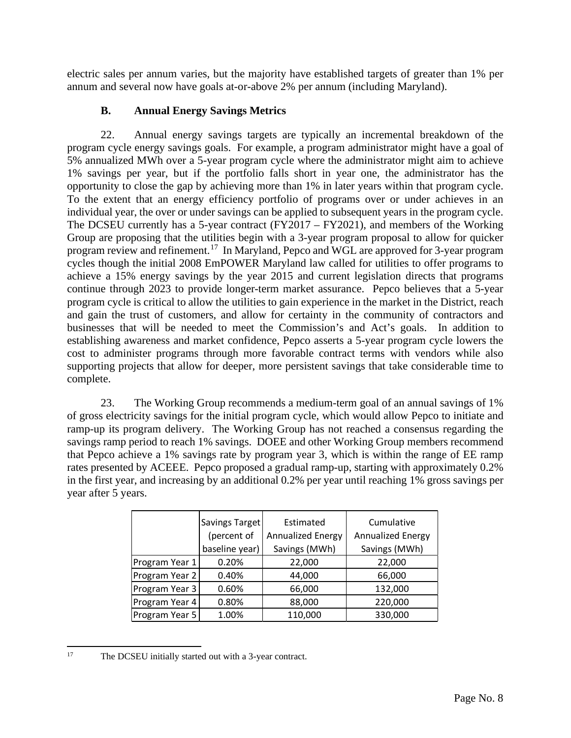electric sales per annum varies, but the majority have established targets of greater than 1% per annum and several now have goals at-or-above 2% per annum (including Maryland).

## **B. Annual Energy Savings Metrics**

22. Annual energy savings targets are typically an incremental breakdown of the program cycle energy savings goals. For example, a program administrator might have a goal of 5% annualized MWh over a 5-year program cycle where the administrator might aim to achieve 1% savings per year, but if the portfolio falls short in year one, the administrator has the opportunity to close the gap by achieving more than 1% in later years within that program cycle. To the extent that an energy efficiency portfolio of programs over or under achieves in an individual year, the over or under savings can be applied to subsequent years in the program cycle. The DCSEU currently has a 5-year contract (FY2017 – FY2021), and members of the Working Group are proposing that the utilities begin with a 3-year program proposal to allow for quicker program review and refinement.[17](#page-7-0) In Maryland, Pepco and WGL are approved for 3-year program cycles though the initial 2008 EmPOWER Maryland law called for utilities to offer programs to achieve a 15% energy savings by the year 2015 and current legislation directs that programs continue through 2023 to provide longer-term market assurance. Pepco believes that a 5-year program cycle is critical to allow the utilities to gain experience in the market in the District, reach and gain the trust of customers, and allow for certainty in the community of contractors and businesses that will be needed to meet the Commission's and Act's goals. In addition to establishing awareness and market confidence, Pepco asserts a 5-year program cycle lowers the cost to administer programs through more favorable contract terms with vendors while also supporting projects that allow for deeper, more persistent savings that take considerable time to complete.

23. The Working Group recommends a medium-term goal of an annual savings of 1% of gross electricity savings for the initial program cycle, which would allow Pepco to initiate and ramp-up its program delivery. The Working Group has not reached a consensus regarding the savings ramp period to reach 1% savings. DOEE and other Working Group members recommend that Pepco achieve a 1% savings rate by program year 3, which is within the range of EE ramp rates presented by ACEEE. Pepco proposed a gradual ramp-up, starting with approximately 0.2% in the first year, and increasing by an additional 0.2% per year until reaching 1% gross savings per year after 5 years.

|                | Savings Target | Estimated                | Cumulative               |
|----------------|----------------|--------------------------|--------------------------|
|                | (percent of    | <b>Annualized Energy</b> | <b>Annualized Energy</b> |
|                | baseline year) | Savings (MWh)            | Savings (MWh)            |
| Program Year 1 | 0.20%          | 22,000                   | 22,000                   |
| Program Year 2 | 0.40%          | 44,000                   | 66,000                   |
| Program Year 3 | 0.60%          | 66,000                   | 132,000                  |
| Program Year 4 | 0.80%          | 88,000                   | 220,000                  |
| Program Year 5 | 1.00%          | 110,000                  | 330,000                  |

<span id="page-7-0"></span><sup>&</sup>lt;sup>17</sup> The DCSEU initially started out with a 3-year contract.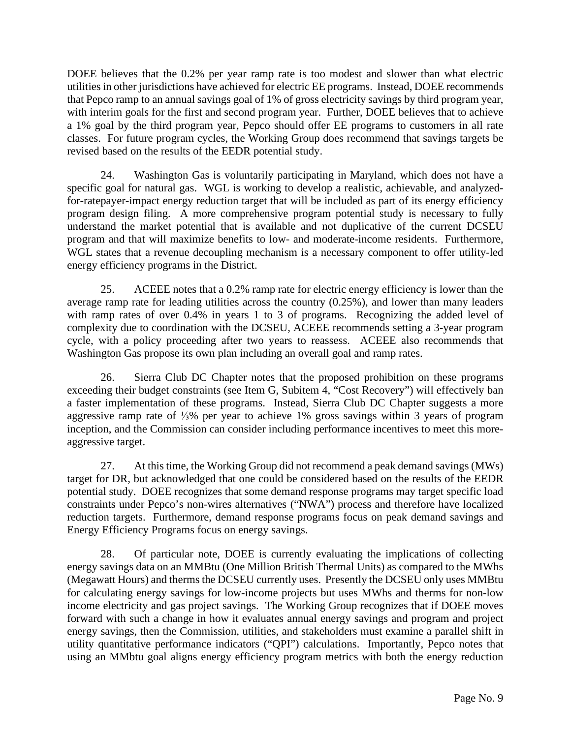DOEE believes that the 0.2% per year ramp rate is too modest and slower than what electric utilities in other jurisdictions have achieved for electric EE programs. Instead, DOEE recommends that Pepco ramp to an annual savings goal of 1% of gross electricity savings by third program year, with interim goals for the first and second program year. Further, DOEE believes that to achieve a 1% goal by the third program year, Pepco should offer EE programs to customers in all rate classes. For future program cycles, the Working Group does recommend that savings targets be revised based on the results of the EEDR potential study.

24. Washington Gas is voluntarily participating in Maryland, which does not have a specific goal for natural gas. WGL is working to develop a realistic, achievable, and analyzedfor-ratepayer-impact energy reduction target that will be included as part of its energy efficiency program design filing. A more comprehensive program potential study is necessary to fully understand the market potential that is available and not duplicative of the current DCSEU program and that will maximize benefits to low- and moderate-income residents. Furthermore, WGL states that a revenue decoupling mechanism is a necessary component to offer utility-led energy efficiency programs in the District.

25. ACEEE notes that a 0.2% ramp rate for electric energy efficiency is lower than the average ramp rate for leading utilities across the country (0.25%), and lower than many leaders with ramp rates of over 0.4% in years 1 to 3 of programs. Recognizing the added level of complexity due to coordination with the DCSEU, ACEEE recommends setting a 3-year program cycle, with a policy proceeding after two years to reassess. ACEEE also recommends that Washington Gas propose its own plan including an overall goal and ramp rates.

26. Sierra Club DC Chapter notes that the proposed prohibition on these programs exceeding their budget constraints (see Item G, Subitem 4, "Cost Recovery") will effectively ban a faster implementation of these programs. Instead, Sierra Club DC Chapter suggests a more aggressive ramp rate of ⅓% per year to achieve 1% gross savings within 3 years of program inception, and the Commission can consider including performance incentives to meet this moreaggressive target.

27. At this time, the Working Group did not recommend a peak demand savings (MWs) target for DR, but acknowledged that one could be considered based on the results of the EEDR potential study. DOEE recognizes that some demand response programs may target specific load constraints under Pepco's non-wires alternatives ("NWA") process and therefore have localized reduction targets. Furthermore, demand response programs focus on peak demand savings and Energy Efficiency Programs focus on energy savings.

28. Of particular note, DOEE is currently evaluating the implications of collecting energy savings data on an MMBtu (One Million British Thermal Units) as compared to the MWhs (Megawatt Hours) and therms the DCSEU currently uses. Presently the DCSEU only uses MMBtu for calculating energy savings for low-income projects but uses MWhs and therms for non-low income electricity and gas project savings. The Working Group recognizes that if DOEE moves forward with such a change in how it evaluates annual energy savings and program and project energy savings, then the Commission, utilities, and stakeholders must examine a parallel shift in utility quantitative performance indicators ("QPI") calculations. Importantly, Pepco notes that using an MMbtu goal aligns energy efficiency program metrics with both the energy reduction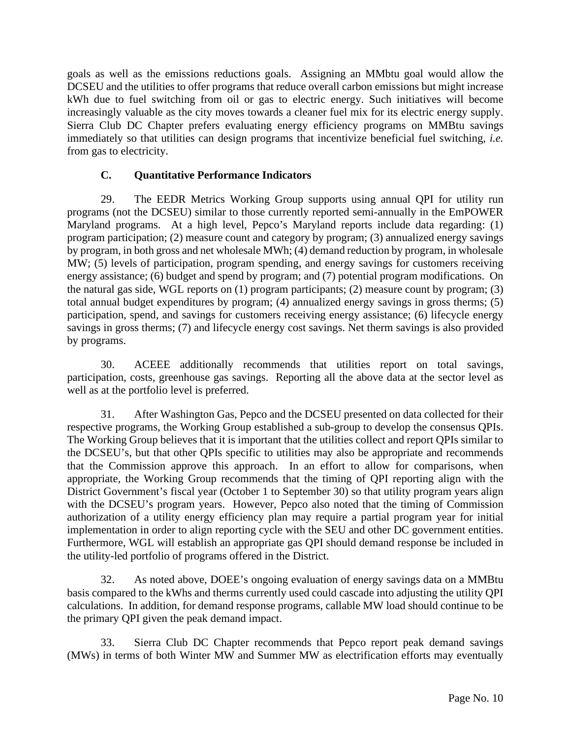goals as well as the emissions reductions goals. Assigning an MMbtu goal would allow the DCSEU and the utilities to offer programs that reduce overall carbon emissions but might increase kWh due to fuel switching from oil or gas to electric energy. Such initiatives will become increasingly valuable as the city moves towards a cleaner fuel mix for its electric energy supply. Sierra Club DC Chapter prefers evaluating energy efficiency programs on MMBtu savings immediately so that utilities can design programs that incentivize beneficial fuel switching, *i.e.* from gas to electricity.

## **C. Quantitative Performance Indicators**

29. The EEDR Metrics Working Group supports using annual QPI for utility run programs (not the DCSEU) similar to those currently reported semi-annually in the EmPOWER Maryland programs. At a high level, Pepco's Maryland reports include data regarding: (1) program participation; (2) measure count and category by program; (3) annualized energy savings by program, in both gross and net wholesale MWh; (4) demand reduction by program, in wholesale MW; (5) levels of participation, program spending, and energy savings for customers receiving energy assistance; (6) budget and spend by program; and (7) potential program modifications. On the natural gas side, WGL reports on (1) program participants; (2) measure count by program; (3) total annual budget expenditures by program; (4) annualized energy savings in gross therms; (5) participation, spend, and savings for customers receiving energy assistance; (6) lifecycle energy savings in gross therms; (7) and lifecycle energy cost savings. Net therm savings is also provided by programs.

30. ACEEE additionally recommends that utilities report on total savings, participation, costs, greenhouse gas savings. Reporting all the above data at the sector level as well as at the portfolio level is preferred.

31. After Washington Gas, Pepco and the DCSEU presented on data collected for their respective programs, the Working Group established a sub-group to develop the consensus QPIs. The Working Group believes that it is important that the utilities collect and report QPIs similar to the DCSEU's, but that other QPIs specific to utilities may also be appropriate and recommends that the Commission approve this approach. In an effort to allow for comparisons, when appropriate, the Working Group recommends that the timing of QPI reporting align with the District Government's fiscal year (October 1 to September 30) so that utility program years align with the DCSEU's program years. However, Pepco also noted that the timing of Commission authorization of a utility energy efficiency plan may require a partial program year for initial implementation in order to align reporting cycle with the SEU and other DC government entities. Furthermore, WGL will establish an appropriate gas QPI should demand response be included in the utility-led portfolio of programs offered in the District.

32. As noted above, DOEE's ongoing evaluation of energy savings data on a MMBtu basis compared to the kWhs and therms currently used could cascade into adjusting the utility QPI calculations. In addition, for demand response programs, callable MW load should continue to be the primary QPI given the peak demand impact.

33. Sierra Club DC Chapter recommends that Pepco report peak demand savings (MWs) in terms of both Winter MW and Summer MW as electrification efforts may eventually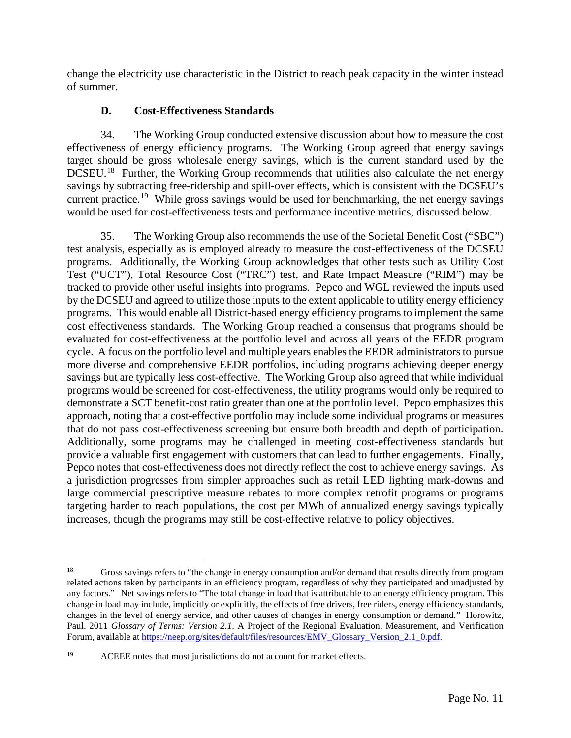change the electricity use characteristic in the District to reach peak capacity in the winter instead of summer.

## **D. Cost-Effectiveness Standards**

34. The Working Group conducted extensive discussion about how to measure the cost effectiveness of energy efficiency programs. The Working Group agreed that energy savings target should be gross wholesale energy savings, which is the current standard used by the  $DCSEU<sup>18</sup>$  $DCSEU<sup>18</sup>$  $DCSEU<sup>18</sup>$  Further, the Working Group recommends that utilities also calculate the net energy savings by subtracting free-ridership and spill-over effects, which is consistent with the DCSEU's current practice.<sup>[19](#page-10-1)</sup> While gross savings would be used for benchmarking, the net energy savings would be used for cost-effectiveness tests and performance incentive metrics, discussed below.

35. The Working Group also recommends the use of the Societal Benefit Cost ("SBC") test analysis, especially as is employed already to measure the cost-effectiveness of the DCSEU programs. Additionally, the Working Group acknowledges that other tests such as Utility Cost Test ("UCT"), Total Resource Cost ("TRC") test, and Rate Impact Measure ("RIM") may be tracked to provide other useful insights into programs. Pepco and WGL reviewed the inputs used by the DCSEU and agreed to utilize those inputs to the extent applicable to utility energy efficiency programs. This would enable all District-based energy efficiency programs to implement the same cost effectiveness standards. The Working Group reached a consensus that programs should be evaluated for cost-effectiveness at the portfolio level and across all years of the EEDR program cycle. A focus on the portfolio level and multiple years enables the EEDR administrators to pursue more diverse and comprehensive EEDR portfolios, including programs achieving deeper energy savings but are typically less cost-effective. The Working Group also agreed that while individual programs would be screened for cost-effectiveness, the utility programs would only be required to demonstrate a SCT benefit-cost ratio greater than one at the portfolio level. Pepco emphasizes this approach, noting that a cost-effective portfolio may include some individual programs or measures that do not pass cost-effectiveness screening but ensure both breadth and depth of participation. Additionally, some programs may be challenged in meeting cost-effectiveness standards but provide a valuable first engagement with customers that can lead to further engagements. Finally, Pepco notes that cost-effectiveness does not directly reflect the cost to achieve energy savings. As a jurisdiction progresses from simpler approaches such as retail LED lighting mark-downs and large commercial prescriptive measure rebates to more complex retrofit programs or programs targeting harder to reach populations, the cost per MWh of annualized energy savings typically increases, though the programs may still be cost-effective relative to policy objectives.

<span id="page-10-0"></span><sup>&</sup>lt;sup>18</sup> Gross savings refers to "the change in energy consumption and/or demand that results directly from program related actions taken by participants in an efficiency program, regardless of why they participated and unadjusted by any factors." Net savings refers to "The total change in load that is attributable to an energy efficiency program. This change in load may include, implicitly or explicitly, the effects of free drivers, free riders, energy efficiency standards, changes in the level of energy service, and other causes of changes in energy consumption or demand." Horowitz, Paul. 2011 *Glossary of Terms: Version 2.1*. A Project of the Regional Evaluation, Measurement, and Verification Forum, available at [https://neep.org/sites/default/files/resources/EMV\\_Glossary\\_Version\\_2.1\\_0.pdf.](https://neep.org/sites/default/files/resources/EMV_Glossary_Version_2.1_0.pdf)

<span id="page-10-1"></span><sup>&</sup>lt;sup>19</sup> ACEEE notes that most jurisdictions do not account for market effects.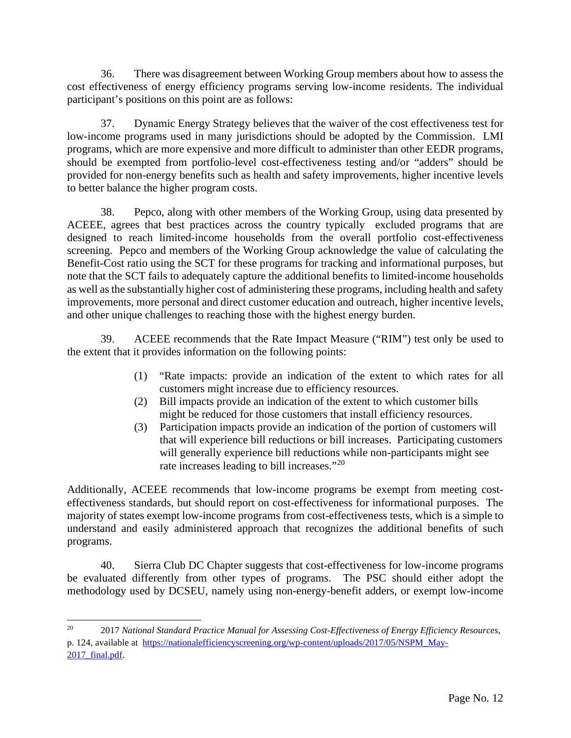36. There was disagreement between Working Group members about how to assess the cost effectiveness of energy efficiency programs serving low-income residents. The individual participant's positions on this point are as follows:

37. Dynamic Energy Strategy believes that the waiver of the cost effectiveness test for low-income programs used in many jurisdictions should be adopted by the Commission. LMI programs, which are more expensive and more difficult to administer than other EEDR programs, should be exempted from portfolio-level cost-effectiveness testing and/or "adders" should be provided for non-energy benefits such as health and safety improvements, higher incentive levels to better balance the higher program costs.

38. Pepco, along with other members of the Working Group, using data presented by ACEEE, agrees that best practices across the country typically excluded programs that are designed to reach limited-income households from the overall portfolio cost-effectiveness screening. Pepco and members of the Working Group acknowledge the value of calculating the Benefit-Cost ratio using the SCT for these programs for tracking and informational purposes, but note that the SCT fails to adequately capture the additional benefits to limited-income households as well as the substantially higher cost of administering these programs, including health and safety improvements, more personal and direct customer education and outreach, higher incentive levels, and other unique challenges to reaching those with the highest energy burden.

39. ACEEE recommends that the Rate Impact Measure ("RIM") test only be used to the extent that it provides information on the following points:

- (1) "Rate impacts: provide an indication of the extent to which rates for all customers might increase due to efficiency resources.
- (2) Bill impacts provide an indication of the extent to which customer bills might be reduced for those customers that install efficiency resources.
- (3) Participation impacts provide an indication of the portion of customers will that will experience bill reductions or bill increases. Participating customers will generally experience bill reductions while non-participants might see rate increases leading to bill increases."<sup>[20](#page-11-0)</sup>

Additionally, ACEEE recommends that low-income programs be exempt from meeting costeffectiveness standards, but should report on cost-effectiveness for informational purposes. The majority of states exempt low-income programs from cost-effectiveness tests, which is a simple to understand and easily administered approach that recognizes the additional benefits of such programs.

40. Sierra Club DC Chapter suggests that cost-effectiveness for low-income programs be evaluated differently from other types of programs. The PSC should either adopt the methodology used by DCSEU, namely using non-energy-benefit adders, or exempt low-income

<span id="page-11-0"></span><sup>20</sup> 2017 *National Standard Practice Manual for Assessing Cost-Effectiveness of Energy Efficiency Resources*, p. 124, available at [https://nationalefficiencyscreening.org/wp-content/uploads/2017/05/NSPM\\_May-](https://nationalefficiencyscreening.org/wp-content/uploads/2017/05/NSPM_May-2017_final.pdf)2017 final.pdf.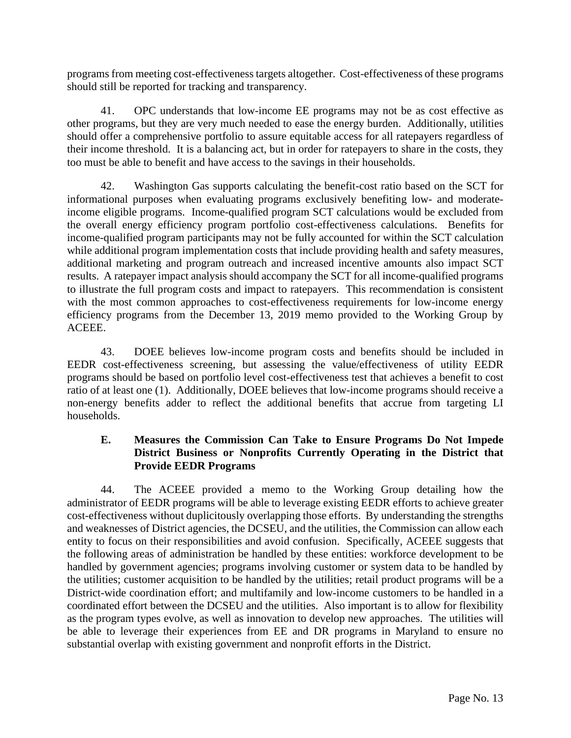programs from meeting cost-effectiveness targets altogether. Cost-effectiveness of these programs should still be reported for tracking and transparency.

41. OPC understands that low-income EE programs may not be as cost effective as other programs, but they are very much needed to ease the energy burden. Additionally, utilities should offer a comprehensive portfolio to assure equitable access for all ratepayers regardless of their income threshold. It is a balancing act, but in order for ratepayers to share in the costs, they too must be able to benefit and have access to the savings in their households.

42. Washington Gas supports calculating the benefit-cost ratio based on the SCT for informational purposes when evaluating programs exclusively benefiting low- and moderateincome eligible programs. Income-qualified program SCT calculations would be excluded from the overall energy efficiency program portfolio cost-effectiveness calculations. Benefits for income-qualified program participants may not be fully accounted for within the SCT calculation while additional program implementation costs that include providing health and safety measures, additional marketing and program outreach and increased incentive amounts also impact SCT results. A ratepayer impact analysis should accompany the SCT for all income-qualified programs to illustrate the full program costs and impact to ratepayers. This recommendation is consistent with the most common approaches to cost-effectiveness requirements for low-income energy efficiency programs from the December 13, 2019 memo provided to the Working Group by ACEEE.

43. DOEE believes low-income program costs and benefits should be included in EEDR cost-effectiveness screening, but assessing the value/effectiveness of utility EEDR programs should be based on portfolio level cost-effectiveness test that achieves a benefit to cost ratio of at least one (1). Additionally, DOEE believes that low-income programs should receive a non-energy benefits adder to reflect the additional benefits that accrue from targeting LI households.

## **E. Measures the Commission Can Take to Ensure Programs Do Not Impede District Business or Nonprofits Currently Operating in the District that Provide EEDR Programs**

44. The ACEEE provided a memo to the Working Group detailing how the administrator of EEDR programs will be able to leverage existing EEDR efforts to achieve greater cost-effectiveness without duplicitously overlapping those efforts. By understanding the strengths and weaknesses of District agencies, the DCSEU, and the utilities, the Commission can allow each entity to focus on their responsibilities and avoid confusion. Specifically, ACEEE suggests that the following areas of administration be handled by these entities: workforce development to be handled by government agencies; programs involving customer or system data to be handled by the utilities; customer acquisition to be handled by the utilities; retail product programs will be a District-wide coordination effort; and multifamily and low-income customers to be handled in a coordinated effort between the DCSEU and the utilities. Also important is to allow for flexibility as the program types evolve, as well as innovation to develop new approaches. The utilities will be able to leverage their experiences from EE and DR programs in Maryland to ensure no substantial overlap with existing government and nonprofit efforts in the District.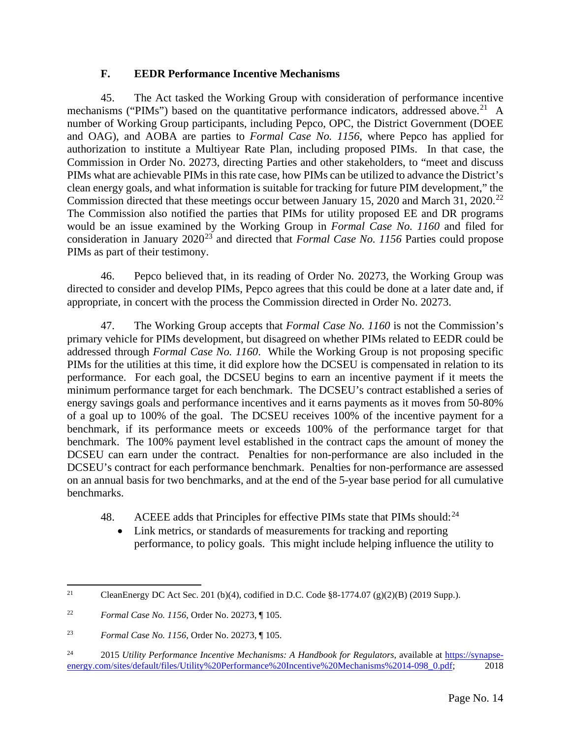### **F. EEDR Performance Incentive Mechanisms**

45. The Act tasked the Working Group with consideration of performance incentive mechanisms ("PIMs") based on the quantitative performance indicators, addressed above.<sup>[21](#page-13-0)</sup> A number of Working Group participants, including Pepco, OPC, the District Government (DOEE and OAG), and AOBA are parties to *Formal Case No. 1156*, where Pepco has applied for authorization to institute a Multiyear Rate Plan, including proposed PIMs. In that case, the Commission in Order No. 20273, directing Parties and other stakeholders, to "meet and discuss PIMs what are achievable PIMs in this rate case, how PIMs can be utilized to advance the District's clean energy goals, and what information is suitable for tracking for future PIM development," the Commission directed that these meetings occur between January 15, 2020 and March 31, 2020.<sup>[22](#page-13-1)</sup> The Commission also notified the parties that PIMs for utility proposed EE and DR programs would be an issue examined by the Working Group in *Formal Case No. 1160* and filed for consideration in January 2020<sup>[23](#page-13-2)</sup> and directed that *Formal Case No. 1156* Parties could propose PIMs as part of their testimony.

46. Pepco believed that, in its reading of Order No. 20273, the Working Group was directed to consider and develop PIMs, Pepco agrees that this could be done at a later date and, if appropriate, in concert with the process the Commission directed in Order No. 20273.

47. The Working Group accepts that *Formal Case No. 1160* is not the Commission's primary vehicle for PIMs development, but disagreed on whether PIMs related to EEDR could be addressed through *Formal Case No. 1160*. While the Working Group is not proposing specific PIMs for the utilities at this time, it did explore how the DCSEU is compensated in relation to its performance. For each goal, the DCSEU begins to earn an incentive payment if it meets the minimum performance target for each benchmark. The DCSEU's contract established a series of energy savings goals and performance incentives and it earns payments as it moves from 50-80% of a goal up to 100% of the goal. The DCSEU receives 100% of the incentive payment for a benchmark, if its performance meets or exceeds 100% of the performance target for that benchmark. The 100% payment level established in the contract caps the amount of money the DCSEU can earn under the contract. Penalties for non-performance are also included in the DCSEU's contract for each performance benchmark. Penalties for non-performance are assessed on an annual basis for two benchmarks, and at the end of the 5-year base period for all cumulative benchmarks.

- 48. ACEEE adds that Principles for effective PIMs state that PIMs should: $^{24}$  $^{24}$  $^{24}$ 
	- Link metrics, or standards of measurements for tracking and reporting performance, to policy goals. This might include helping influence the utility to

<span id="page-13-0"></span><sup>&</sup>lt;sup>21</sup> CleanEnergy DC Act Sec. 201 (b)(4), codified in D.C. Code §8-1774.07 (g)(2)(B) (2019 Supp.).

<span id="page-13-1"></span><sup>22</sup> *Formal Case No. 1156*, Order No. 20273, ¶ 105.

<span id="page-13-2"></span><sup>23</sup> *Formal Case No. 1156*, Order No. 20273, ¶ 105.

<span id="page-13-3"></span><sup>&</sup>lt;sup>24</sup> 2015 *Utility Performance Incentive Mechanisms: A Handbook for Regulators*, available at [https://synapse](https://synapse-energy.com/sites/default/files/Utility%20Performance%20Incentive%20Mechanisms%2014-098_0.pdf)[energy.com/sites/default/files/Utility%20Performance%20Incentive%20Mechanisms%2014-098\\_0.pdf;](https://synapse-energy.com/sites/default/files/Utility%20Performance%20Incentive%20Mechanisms%2014-098_0.pdf) 2018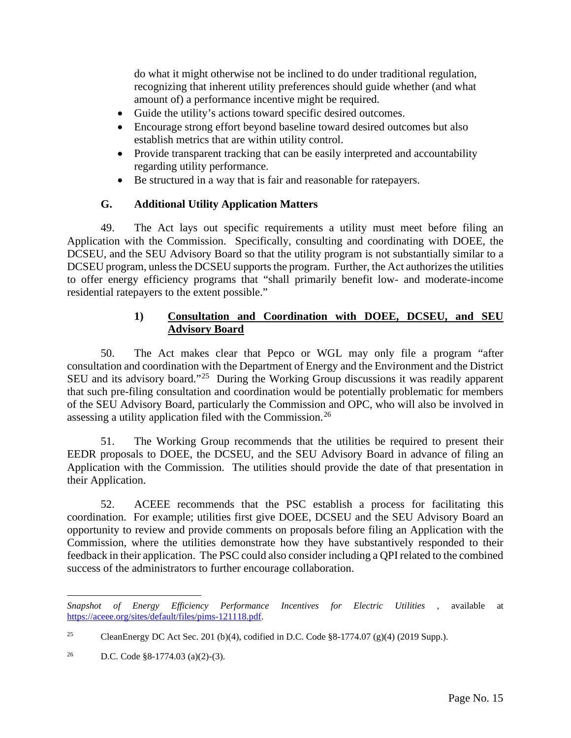do what it might otherwise not be inclined to do under traditional regulation, recognizing that inherent utility preferences should guide whether (and what amount of) a performance incentive might be required.

- Guide the utility's actions toward specific desired outcomes.
- Encourage strong effort beyond baseline toward desired outcomes but also establish metrics that are within utility control.
- Provide transparent tracking that can be easily interpreted and accountability regarding utility performance.
- Be structured in a way that is fair and reasonable for ratepayers.

#### **G. Additional Utility Application Matters**

49. The Act lays out specific requirements a utility must meet before filing an Application with the Commission. Specifically, consulting and coordinating with DOEE, the DCSEU, and the SEU Advisory Board so that the utility program is not substantially similar to a DCSEU program, unless the DCSEU supports the program. Further, the Act authorizes the utilities to offer energy efficiency programs that "shall primarily benefit low- and moderate-income residential ratepayers to the extent possible."

#### **1) Consultation and Coordination with DOEE, DCSEU, and SEU Advisory Board**

50. The Act makes clear that Pepco or WGL may only file a program "after consultation and coordination with the Department of Energy and the Environment and the District SEU and its advisory board."<sup>25</sup> During the Working Group discussions it was readily apparent that such pre-filing consultation and coordination would be potentially problematic for members of the SEU Advisory Board, particularly the Commission and OPC, who will also be involved in assessing a utility application filed with the Commission.[26](#page-14-1)

51. The Working Group recommends that the utilities be required to present their EEDR proposals to DOEE, the DCSEU, and the SEU Advisory Board in advance of filing an Application with the Commission. The utilities should provide the date of that presentation in their Application.

52. ACEEE recommends that the PSC establish a process for facilitating this coordination. For example; utilities first give DOEE, DCSEU and the SEU Advisory Board an opportunity to review and provide comments on proposals before filing an Application with the Commission, where the utilities demonstrate how they have substantively responded to their feedback in their application. The PSC could also consider including a QPI related to the combined success of the administrators to further encourage collaboration.

*Snapshot of Energy Efficiency Performance Incentives for Electric Utilities* , available at [https://aceee.org/sites/default/files/pims-121118.pdf.](https://aceee.org/sites/default/files/pims-121118.pdf)

<span id="page-14-0"></span><sup>&</sup>lt;sup>25</sup> CleanEnergy DC Act Sec. 201 (b)(4), codified in D.C. Code §8-1774.07 (g)(4) (2019 Supp.).

<span id="page-14-1"></span><sup>26</sup> D.C. Code §8-1774.03 (a)(2)-(3).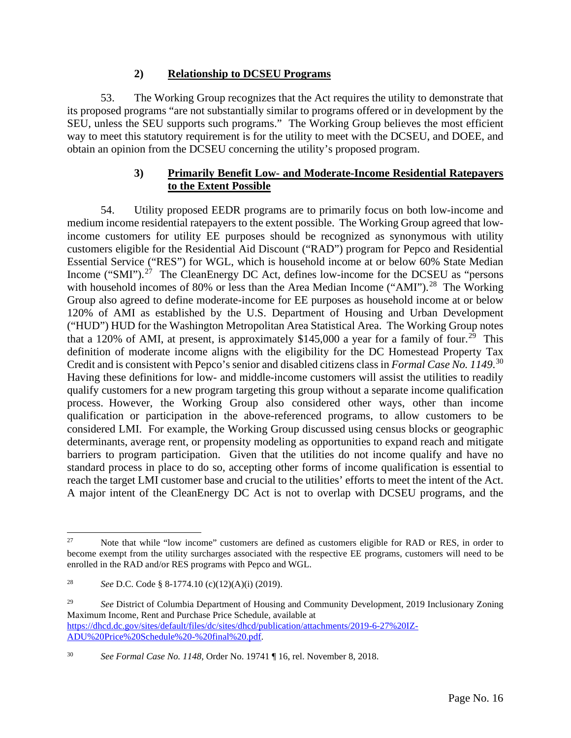#### **2) Relationship to DCSEU Programs**

53. The Working Group recognizes that the Act requires the utility to demonstrate that its proposed programs "are not substantially similar to programs offered or in development by the SEU, unless the SEU supports such programs." The Working Group believes the most efficient way to meet this statutory requirement is for the utility to meet with the DCSEU, and DOEE, and obtain an opinion from the DCSEU concerning the utility's proposed program.

## **3) Primarily Benefit Low- and Moderate-Income Residential Ratepayers to the Extent Possible**

54. Utility proposed EEDR programs are to primarily focus on both low-income and medium income residential ratepayers to the extent possible. The Working Group agreed that lowincome customers for utility EE purposes should be recognized as synonymous with utility customers eligible for the Residential Aid Discount ("RAD") program for Pepco and Residential Essential Service ("RES") for WGL, which is household income at or below 60% State Median Income ("SMI").<sup>27</sup> The CleanEnergy DC Act, defines low-income for the DCSEU as "persons with household incomes of 80% or less than the Area Median Income ("AMI").<sup>28</sup> The Working Group also agreed to define moderate-income for EE purposes as household income at or below 120% of AMI as established by the U.S. Department of Housing and Urban Development ("HUD") HUD for the Washington Metropolitan Area Statistical Area. The Working Group notes that a 120% of AMI, at present, is approximately  $$145,000$  a year for a family of four.<sup>29</sup> This definition of moderate income aligns with the eligibility for the DC Homestead Property Tax Credit and is consistent with Pepco's senior and disabled citizens class in *Formal Case No. 1149*. [30](#page-15-3) Having these definitions for low- and middle-income customers will assist the utilities to readily qualify customers for a new program targeting this group without a separate income qualification process. However, the Working Group also considered other ways, other than income qualification or participation in the above-referenced programs, to allow customers to be considered LMI. For example, the Working Group discussed using census blocks or geographic determinants, average rent, or propensity modeling as opportunities to expand reach and mitigate barriers to program participation. Given that the utilities do not income qualify and have no standard process in place to do so, accepting other forms of income qualification is essential to reach the target LMI customer base and crucial to the utilities' efforts to meet the intent of the Act. A major intent of the CleanEnergy DC Act is not to overlap with DCSEU programs, and the

<span id="page-15-0"></span><sup>&</sup>lt;sup>27</sup> Note that while "low income" customers are defined as customers eligible for RAD or RES, in order to become exempt from the utility surcharges associated with the respective EE programs, customers will need to be enrolled in the RAD and/or RES programs with Pepco and WGL.

<span id="page-15-1"></span><sup>28</sup> *See* D.C. Code § 8-1774.10 (c)(12)(A)(i) (2019).

<span id="page-15-2"></span><sup>&</sup>lt;sup>29</sup> *See* District of Columbia Department of Housing and Community Development, 2019 Inclusionary Zoning Maximum Income, Rent and Purchase Price Schedule, available at [https://dhcd.dc.gov/sites/default/files/dc/sites/dhcd/publication/attachments/2019-6-27%20IZ-](https://dhcd.dc.gov/sites/default/files/dc/sites/dhcd/publication/attachments/2019-6-27%20IZ-ADU%20Price%20Schedule%20-%20final%20.pdf)[ADU%20Price%20Schedule%20-%20final%20.pdf.](https://dhcd.dc.gov/sites/default/files/dc/sites/dhcd/publication/attachments/2019-6-27%20IZ-ADU%20Price%20Schedule%20-%20final%20.pdf)

<span id="page-15-3"></span><sup>30</sup> *See Formal Case No. 1148*, Order No. 19741 ¶ 16, rel. November 8, 2018.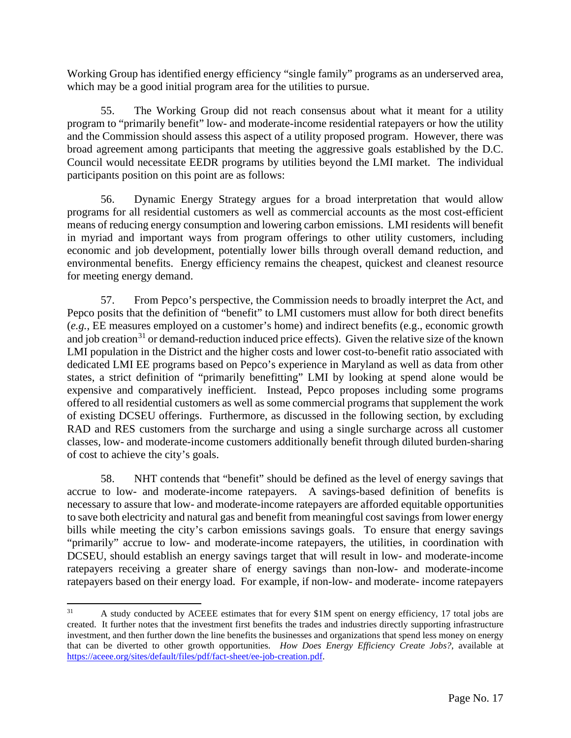Working Group has identified energy efficiency "single family" programs as an underserved area, which may be a good initial program area for the utilities to pursue.

55. The Working Group did not reach consensus about what it meant for a utility program to "primarily benefit" low- and moderate-income residential ratepayers or how the utility and the Commission should assess this aspect of a utility proposed program. However, there was broad agreement among participants that meeting the aggressive goals established by the D.C. Council would necessitate EEDR programs by utilities beyond the LMI market. The individual participants position on this point are as follows:

56. Dynamic Energy Strategy argues for a broad interpretation that would allow programs for all residential customers as well as commercial accounts as the most cost-efficient means of reducing energy consumption and lowering carbon emissions. LMI residents will benefit in myriad and important ways from program offerings to other utility customers, including economic and job development, potentially lower bills through overall demand reduction, and environmental benefits. Energy efficiency remains the cheapest, quickest and cleanest resource for meeting energy demand.

57. From Pepco's perspective, the Commission needs to broadly interpret the Act, and Pepco posits that the definition of "benefit" to LMI customers must allow for both direct benefits (*e.g.*, EE measures employed on a customer's home) and indirect benefits (e.g., economic growth and job creation<sup>[31](#page-16-0)</sup> or demand-reduction induced price effects). Given the relative size of the known LMI population in the District and the higher costs and lower cost-to-benefit ratio associated with dedicated LMI EE programs based on Pepco's experience in Maryland as well as data from other states, a strict definition of "primarily benefitting" LMI by looking at spend alone would be expensive and comparatively inefficient. Instead, Pepco proposes including some programs offered to all residential customers as well as some commercial programs that supplement the work of existing DCSEU offerings. Furthermore, as discussed in the following section, by excluding RAD and RES customers from the surcharge and using a single surcharge across all customer classes, low- and moderate-income customers additionally benefit through diluted burden-sharing of cost to achieve the city's goals.

58. NHT contends that "benefit" should be defined as the level of energy savings that accrue to low- and moderate-income ratepayers. A savings-based definition of benefits is necessary to assure that low- and moderate-income ratepayers are afforded equitable opportunities to save both electricity and natural gas and benefit from meaningful cost savings from lower energy bills while meeting the city's carbon emissions savings goals. To ensure that energy savings "primarily" accrue to low- and moderate-income ratepayers, the utilities, in coordination with DCSEU, should establish an energy savings target that will result in low- and moderate-income ratepayers receiving a greater share of energy savings than non-low- and moderate-income ratepayers based on their energy load. For example, if non-low- and moderate- income ratepayers

<span id="page-16-0"></span><sup>&</sup>lt;sup>31</sup> A study conducted by ACEEE estimates that for every \$1M spent on energy efficiency, 17 total jobs are created. It further notes that the investment first benefits the trades and industries directly supporting infrastructure investment, and then further down the line benefits the businesses and organizations that spend less money on energy that can be diverted to other growth opportunities. *How Does Energy Efficiency Create Jobs?*, available at [https://aceee.org/sites/default/files/pdf/fact-sheet/ee-job-creation.pdf.](https://aceee.org/sites/default/files/pdf/fact-sheet/ee-job-creation.pdf)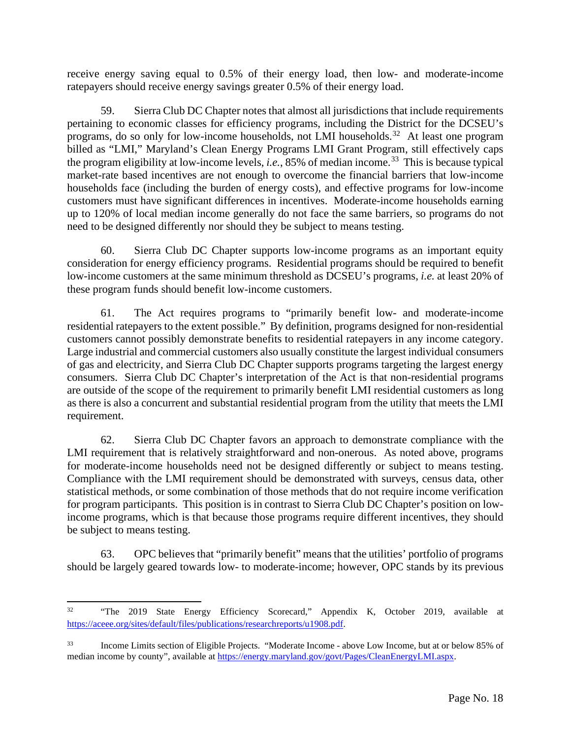receive energy saving equal to 0.5% of their energy load, then low- and moderate-income ratepayers should receive energy savings greater 0.5% of their energy load.

59. Sierra Club DC Chapter notes that almost all jurisdictions that include requirements pertaining to economic classes for efficiency programs, including the District for the DCSEU's programs, do so only for low-income households, not LMI households.<sup>[32](#page-17-0)</sup> At least one program billed as "LMI," Maryland's Clean Energy Programs LMI Grant Program, still effectively caps the program eligibility at low-income levels, *i.e.*, 85% of median income.[33](#page-17-1) This is because typical market-rate based incentives are not enough to overcome the financial barriers that low-income households face (including the burden of energy costs), and effective programs for low-income customers must have significant differences in incentives. Moderate-income households earning up to 120% of local median income generally do not face the same barriers, so programs do not need to be designed differently nor should they be subject to means testing.

60. Sierra Club DC Chapter supports low-income programs as an important equity consideration for energy efficiency programs. Residential programs should be required to benefit low-income customers at the same minimum threshold as DCSEU's programs, *i.e.* at least 20% of these program funds should benefit low-income customers.

61. The Act requires programs to "primarily benefit low- and moderate-income residential ratepayers to the extent possible." By definition, programs designed for non-residential customers cannot possibly demonstrate benefits to residential ratepayers in any income category. Large industrial and commercial customers also usually constitute the largest individual consumers of gas and electricity, and Sierra Club DC Chapter supports programs targeting the largest energy consumers. Sierra Club DC Chapter's interpretation of the Act is that non-residential programs are outside of the scope of the requirement to primarily benefit LMI residential customers as long as there is also a concurrent and substantial residential program from the utility that meets the LMI requirement.

62. Sierra Club DC Chapter favors an approach to demonstrate compliance with the LMI requirement that is relatively straightforward and non-onerous. As noted above, programs for moderate-income households need not be designed differently or subject to means testing. Compliance with the LMI requirement should be demonstrated with surveys, census data, other statistical methods, or some combination of those methods that do not require income verification for program participants. This position is in contrast to Sierra Club DC Chapter's position on lowincome programs, which is that because those programs require different incentives, they should be subject to means testing.

63. OPC believes that "primarily benefit" means that the utilities' portfolio of programs should be largely geared towards low- to moderate-income; however, OPC stands by its previous

<span id="page-17-0"></span><sup>&</sup>lt;sup>32</sup> "The 2019 State Energy Efficiency Scorecard," Appendix K, October 2019, available at [https://aceee.org/sites/default/files/publications/researchreports/u1908.pdf.](https://aceee.org/sites/default/files/publications/researchreports/u1908.pdf)

<span id="page-17-1"></span>Income Limits section of Eligible Projects. "Moderate Income - above Low Income, but at or below 85% of median income by county", available at [https://energy.maryland.gov/govt/Pages/CleanEnergyLMI.aspx.](https://energy.maryland.gov/govt/Pages/CleanEnergyLMI.aspx)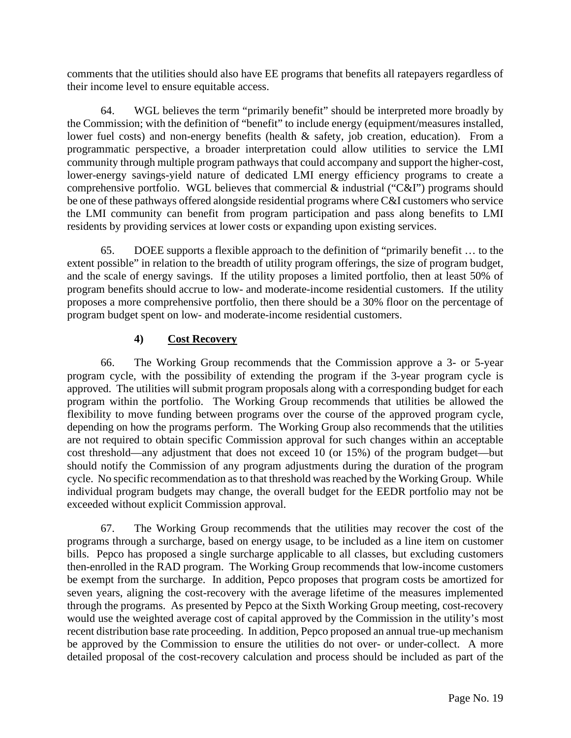comments that the utilities should also have EE programs that benefits all ratepayers regardless of their income level to ensure equitable access.

64. WGL believes the term "primarily benefit" should be interpreted more broadly by the Commission; with the definition of "benefit" to include energy (equipment/measures installed, lower fuel costs) and non-energy benefits (health & safety, job creation, education). From a programmatic perspective, a broader interpretation could allow utilities to service the LMI community through multiple program pathways that could accompany and support the higher-cost, lower-energy savings-yield nature of dedicated LMI energy efficiency programs to create a comprehensive portfolio. WGL believes that commercial  $\&$  industrial ("C&I") programs should be one of these pathways offered alongside residential programs where C&I customers who service the LMI community can benefit from program participation and pass along benefits to LMI residents by providing services at lower costs or expanding upon existing services.

65. DOEE supports a flexible approach to the definition of "primarily benefit … to the extent possible" in relation to the breadth of utility program offerings, the size of program budget, and the scale of energy savings. If the utility proposes a limited portfolio, then at least 50% of program benefits should accrue to low- and moderate-income residential customers. If the utility proposes a more comprehensive portfolio, then there should be a 30% floor on the percentage of program budget spent on low- and moderate-income residential customers.

# **4) Cost Recovery**

66. The Working Group recommends that the Commission approve a 3- or 5-year program cycle, with the possibility of extending the program if the 3-year program cycle is approved. The utilities will submit program proposals along with a corresponding budget for each program within the portfolio. The Working Group recommends that utilities be allowed the flexibility to move funding between programs over the course of the approved program cycle, depending on how the programs perform. The Working Group also recommends that the utilities are not required to obtain specific Commission approval for such changes within an acceptable cost threshold—any adjustment that does not exceed 10 (or 15%) of the program budget—but should notify the Commission of any program adjustments during the duration of the program cycle. No specific recommendation as to that threshold was reached by the Working Group. While individual program budgets may change, the overall budget for the EEDR portfolio may not be exceeded without explicit Commission approval.

67. The Working Group recommends that the utilities may recover the cost of the programs through a surcharge, based on energy usage, to be included as a line item on customer bills. Pepco has proposed a single surcharge applicable to all classes, but excluding customers then-enrolled in the RAD program. The Working Group recommends that low-income customers be exempt from the surcharge. In addition, Pepco proposes that program costs be amortized for seven years, aligning the cost-recovery with the average lifetime of the measures implemented through the programs. As presented by Pepco at the Sixth Working Group meeting, cost-recovery would use the weighted average cost of capital approved by the Commission in the utility's most recent distribution base rate proceeding. In addition, Pepco proposed an annual true-up mechanism be approved by the Commission to ensure the utilities do not over- or under-collect. A more detailed proposal of the cost-recovery calculation and process should be included as part of the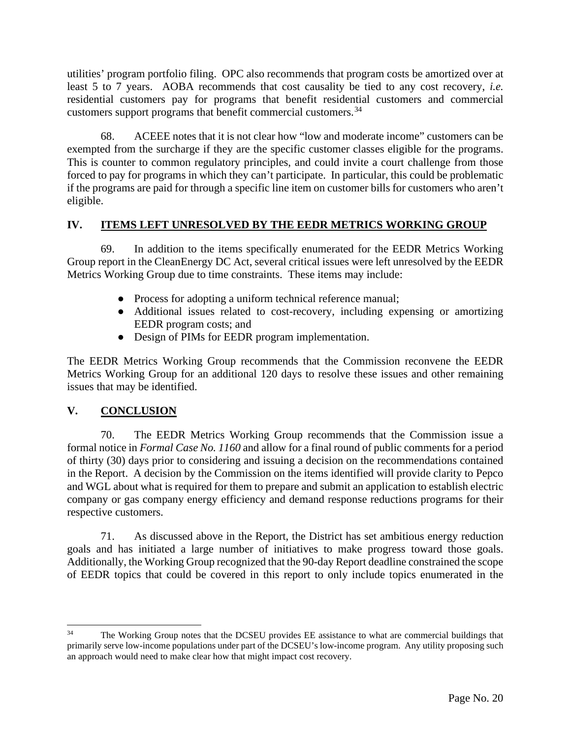utilities' program portfolio filing. OPC also recommends that program costs be amortized over at least 5 to 7 years. AOBA recommends that cost causality be tied to any cost recovery, *i.e.* residential customers pay for programs that benefit residential customers and commercial customers support programs that benefit commercial customers.[34](#page-19-0)

68. ACEEE notes that it is not clear how "low and moderate income" customers can be exempted from the surcharge if they are the specific customer classes eligible for the programs. This is counter to common regulatory principles, and could invite a court challenge from those forced to pay for programs in which they can't participate. In particular, this could be problematic if the programs are paid for through a specific line item on customer bills for customers who aren't eligible.

# **IV. ITEMS LEFT UNRESOLVED BY THE EEDR METRICS WORKING GROUP**

69. In addition to the items specifically enumerated for the EEDR Metrics Working Group report in the CleanEnergy DC Act, several critical issues were left unresolved by the EEDR Metrics Working Group due to time constraints. These items may include:

- Process for adopting a uniform technical reference manual;
- Additional issues related to cost-recovery, including expensing or amortizing EEDR program costs; and
- Design of PIMs for EEDR program implementation.

The EEDR Metrics Working Group recommends that the Commission reconvene the EEDR Metrics Working Group for an additional 120 days to resolve these issues and other remaining issues that may be identified.

## **V. CONCLUSION**

70. The EEDR Metrics Working Group recommends that the Commission issue a formal notice in *Formal Case No. 1160* and allow for a final round of public comments for a period of thirty (30) days prior to considering and issuing a decision on the recommendations contained in the Report. A decision by the Commission on the items identified will provide clarity to Pepco and WGL about what is required for them to prepare and submit an application to establish electric company or gas company energy efficiency and demand response reductions programs for their respective customers.

71. As discussed above in the Report, the District has set ambitious energy reduction goals and has initiated a large number of initiatives to make progress toward those goals. Additionally, the Working Group recognized that the 90-day Report deadline constrained the scope of EEDR topics that could be covered in this report to only include topics enumerated in the

<span id="page-19-0"></span><sup>&</sup>lt;sup>34</sup> The Working Group notes that the DCSEU provides EE assistance to what are commercial buildings that primarily serve low-income populations under part of the DCSEU's low-income program. Any utility proposing such an approach would need to make clear how that might impact cost recovery.